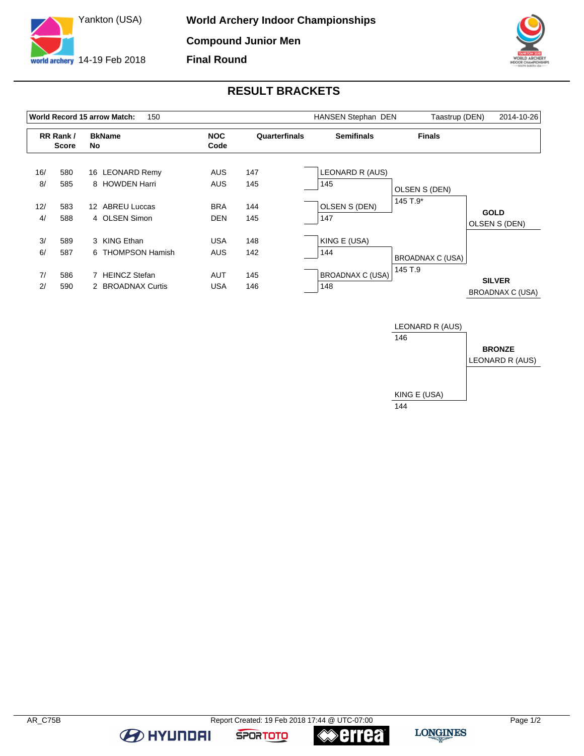



## **RESULT BRACKETS**

|                  |                           | 150<br>World Record 15 arrow Match:                  |                                        | HANSEN Stephan DEN | Taastrup (DEN)                                        | 2014-10-26                |                                   |
|------------------|---------------------------|------------------------------------------------------|----------------------------------------|--------------------|-------------------------------------------------------|---------------------------|-----------------------------------|
|                  | RR Rank /<br><b>Score</b> | <b>BkName</b><br>No                                  | <b>NOC</b><br>Code                     | Quarterfinals      | <b>Semifinals</b>                                     | <b>Finals</b>             |                                   |
| 16/<br>8/<br>12/ | 580<br>585<br>583         | 16 LEONARD Remy<br>8 HOWDEN Harri<br>12 ABREU Luccas | <b>AUS</b><br><b>AUS</b><br><b>BRA</b> | 147<br>145<br>144  | <b>LEONARD R (AUS)</b><br>145<br><b>OLSEN S (DEN)</b> | OLSEN S (DEN)<br>145 T.9* |                                   |
| 4/               | 588                       | 4 OLSEN Simon                                        | <b>DEN</b>                             | 145                | 147                                                   |                           | <b>GOLD</b><br>OLSEN S (DEN)      |
| 3/<br>6/         | 589<br>587                | 3 KING Ethan<br>6 THOMPSON Hamish                    | <b>USA</b><br><b>AUS</b>               | 148<br>142         | KING E (USA)<br>144                                   | BROADNAX C (USA)          |                                   |
| 7/<br>2/         | 586<br>590                | <b>HEINCZ Stefan</b><br>2 BROADNAX Curtis            | <b>AUT</b><br><b>USA</b>               | 145<br>146         | <b>BROADNAX C (USA)</b><br>148                        | 145 T.9                   | <b>SILVER</b><br>BROADNAX C (USA) |



**BE HYUNDAI** 

**≪errea** 

**SPORTOTO**